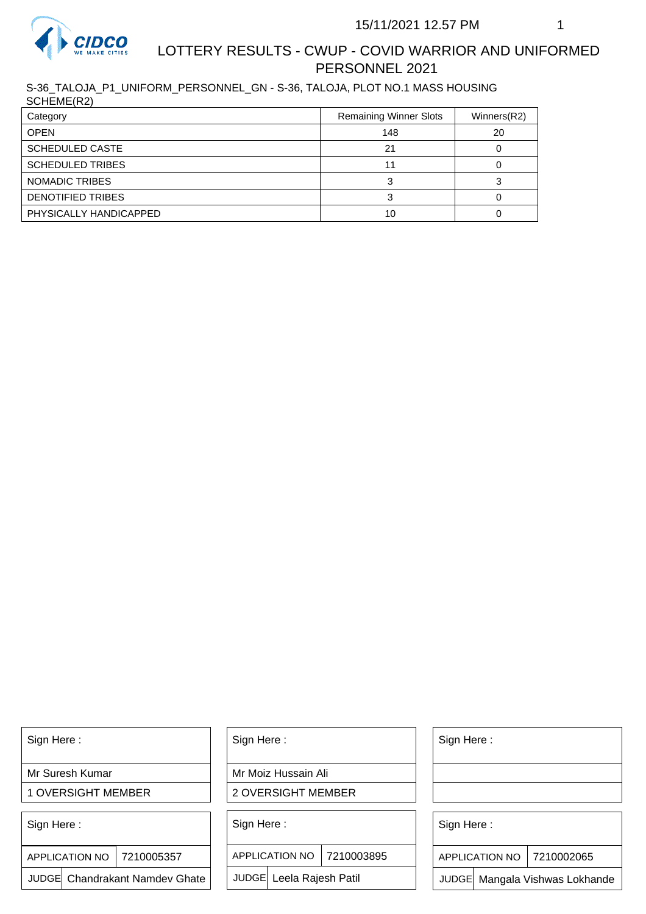

## LOTTERY RESULTS - CWUP - COVID WARRIOR AND UNIFORMED PERSONNEL 2021

S-36\_TALOJA\_P1\_UNIFORM\_PERSONNEL\_GN - S-36, TALOJA, PLOT NO.1 MASS HOUSING SCHEME(R2)

| 00111111111121          |                               |    |  |  |
|-------------------------|-------------------------------|----|--|--|
| Category                | <b>Remaining Winner Slots</b> |    |  |  |
| <b>OPEN</b>             | 148                           | 20 |  |  |
| <b>SCHEDULED CASTE</b>  | 21                            |    |  |  |
| <b>SCHEDULED TRIBES</b> | 11                            |    |  |  |
| NOMADIC TRIBES          |                               |    |  |  |
| DENOTIFIED TRIBES       |                               |    |  |  |
| PHYSICALLY HANDICAPPED  | 10                            |    |  |  |

Sign Here :

Mr Suresh Kumar

1 OVERSIGHT MEMBER

Sign Here :

7210005357 APPLICATION NO

JUDGE Chandrakant Namdev Ghate

Sign Here :

Mr Moiz Hussain Ali

2 OVERSIGHT MEMBER

Sign Here :

APPLICATION NO 7210003895

JUDGE Leela Rajesh Patil

Sign Here :

Sign Here :

APPLICATION NO | 7210002065

Chandrakant Namdev Ghate  $|\quad|$  JUDGE Leela Rajesh Patil  $|\quad|$  JUDGE Mangala Vishwas Lokhande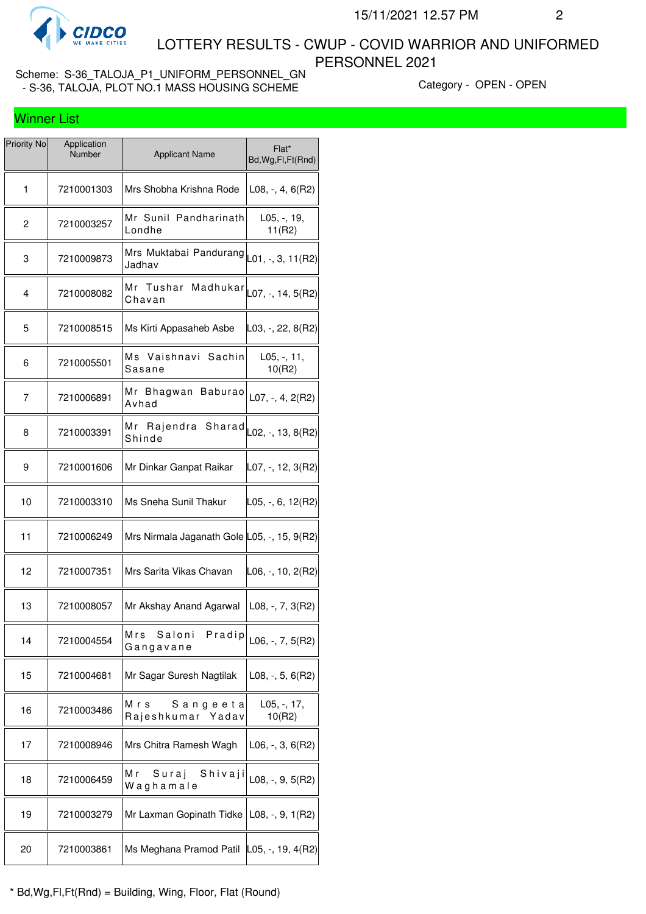

Winner List

 LOTTERY RESULTS - CWUP - COVID WARRIOR AND UNIFORMED PERSONNEL 2021

Scheme: S-36\_TALOJA\_P1\_UNIFORM\_PERSONNEL\_GN - S-36, TALOJA, PLOT NO.1 MASS HOUSING SCHEME Category - OPEN - OPEN - OPEN

| Priority No | Application<br>Number | <b>Applicant Name</b>                                  | Flat*<br>Bd, Wg, Fl, Ft (Rnd) |
|-------------|-----------------------|--------------------------------------------------------|-------------------------------|
| 1           | 7210001303            | Mrs Shobha Krishna Rode                                | $L08, -, 4, 6(R2)$            |
| 2           | 7210003257            | Mr Sunil Pandharinath<br>Londhe                        | $L05, -19,$<br>11(R2)         |
| 3           | 7210009873            | Mrs Muktabai Pandurang L01, -, 3, 11(R2)<br>Jadhav     |                               |
| 4           | 7210008082            | Mr Tushar Madhukar $\vert$ L07, -, 14, 5(R2)<br>Chavan |                               |
| 5           | 7210008515            | Ms Kirti Appasaheb Asbe                                | L03, -, 22, 8(R2)             |
| 6           | 7210005501            | Ms Vaishnavi Sachin<br>Sasane                          | $L05, -, 11,$<br>10(R2)       |
| 7           | 7210006891            | Mr Bhagwan Baburao<br>Avhad                            | $L07, -, 4, 2(R2)$            |
| 8           | 7210003391            | Mr Rajendra Sharad<br>Shinde                           | L02, -, 13, 8(R2)             |
| 9           | 7210001606            | Mr Dinkar Ganpat Raikar                                | $ $ L07, -, 12, 3(R2)         |
| 10          | 7210003310            | Ms Sneha Sunil Thakur                                  | $\vert$ L05, -, 6, 12(R2)     |
| 11          | 7210006249            | Mrs Nirmala Jaganath Gole L05, -, 15, 9(R2)            |                               |
| 12          | 7210007351            | Mrs Sarita Vikas Chavan                                | L06, -, 10, 2(R2)             |
| 13          | 7210008057            | Mr Akshay Anand Agarwal                                | $L08, -7, 3(R2)$              |
| 14          | 7210004554            | Mrs<br>Saloni<br>Pradip<br>Gangavane                   | $L06, -7, 5(R2)$              |
| 15          | 7210004681            | Mr Sagar Suresh Nagtilak                               | $L08, -, 5, 6(R2)$            |
| 16          | 7210003486            | Mrs<br>Sangeeta<br>Rajeshkumar<br>Yadav                | L05, -, 17,<br>10(R2)         |
| 17          | 7210008946            | Mrs Chitra Ramesh Wagh                                 | $L06, -3, 6(R2)$              |
| 18          | 7210006459            | Мr<br>Suraj<br>Shivaji<br>Waghamale                    | $L08, -, 9, 5(R2)$            |
| 19          | 7210003279            | Mr Laxman Gopinath Tidke                               | $L08, -, 9, 1(R2)$            |
| 20          | 7210003861            | Ms Meghana Pramod Patil                                | $ L05, -, 19, 4(R2) $         |

\* Bd,Wg,Fl,Ft(Rnd) = Building, Wing, Floor, Flat (Round)